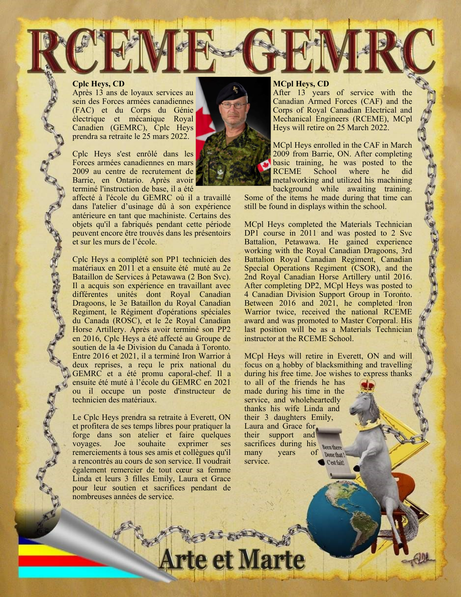## **Cplc Heys, CD**

Après 13 ans de loyaux services au sein des Forces armées canadiennes (FAC) et du Corps du Génie électrique et mécanique Royal Canadien (GEMRC), Cplc Heys prendra sa retraite le 25 mars 2022.

Cplc Heys s'est enrôlé dans les Forces armées canadiennes en mars 2009 au centre de recrutement de Barrie, en Ontario. Après avoir terminé l'instruction de base, il a été

affecté à l'école du GEMRC où il a travaillé dans l'atelier d'usinage dû à son expérience antérieure en tant que machiniste. Certains des objets qu'il a fabriqués pendant cette période peuvent encore être trouvés dans les présentoirs et sur les murs de l'école.

Cplc Heys a complété son PP1 technicien des matériaux en 2011 et a ensuite été muté au 2e Bataillon de Services à Petawawa (2 Bon Svc). Il a acquis son expérience en travaillant avec différentes unités dont Royal Canadian Dragoons, le 3e Bataillon du Royal Canadian Regiment, le Régiment d'opérations spéciales du Canada (ROSC), et le 2e Royal Canadian Horse Artillery. Après avoir terminé son PP2 en 2016, Cplc Heys a été affecté au Groupe de soutien de la 4e Division du Canada à Toronto. Entre 2016 et 2021, il a terminé Iron Warrior à deux reprises, a reçu le prix national du GEMRC et a été promu caporal-chef. Il a ensuite été muté à l'école du GEMRC en 2021 ou il occupe un poste d'instructeur de technicien des matériaux.

Le Cplc Heys prendra sa retraite à Everett, ON et profitera de ses temps libres pour pratiquer la forge dans son atelier et faire quelques voyages. Joe souhaite exprimer ses remerciements à tous ses amis et collègues qu'il a rencontrés au cours de son service. Il voudrait également remercier de tout cœur sa femme Linda et leurs 3 filles Emily, Laura et Grace pour leur soutien et sacrifices pendant de nombreuses années de service.

## **MCpl Heys, CD**

After 13 years of service with the Canadian Armed Forces (CAF) and the Corps of Royal Canadian Electrical and Mechanical Engineers (RCEME), MCpl Heys will retire on 25 March 2022.

MCpl Heys enrolled in the CAF in March 2009 from Barrie, ON. After completing basic training, he was posted to the RCEME School where he did metalworking and utilized his machining background while awaiting training.

**ANTENDENTE** 

Some of the items he made during that time can still be found in displays within the school.

MCpl Heys completed the Materials Technician DP1 course in 2011 and was posted to 2 Svc Battalion, Petawawa. He gained experience working with the Royal Canadian Dragoons, 3rd Battalion Royal Canadian Regiment, Canadian Special Operations Regiment (CSOR), and the 2nd Royal Canadian Horse Artillery until 2016. After completing DP2, MCpl Heys was posted to 4 Canadian Division Support Group in Toronto. Between 2016 and 2021, he completed Iron Warrior twice, received the national RCEME award and was promoted to Master Corporal. His last position will be as a Materials Technician instructor at the RCEME School.

MCpl Heys will retire in Everett, ON and will focus on a hobby of blacksmithing and travelling during his free time. Joe wishes to express thanks

to all of the friends he has made during his time in the service, and wholeheartedly thanks his wife Linda and their 3 daughters Emily, Laura and Grace for their support and sacrifices during his many years of Done that ! service.Cest fait!